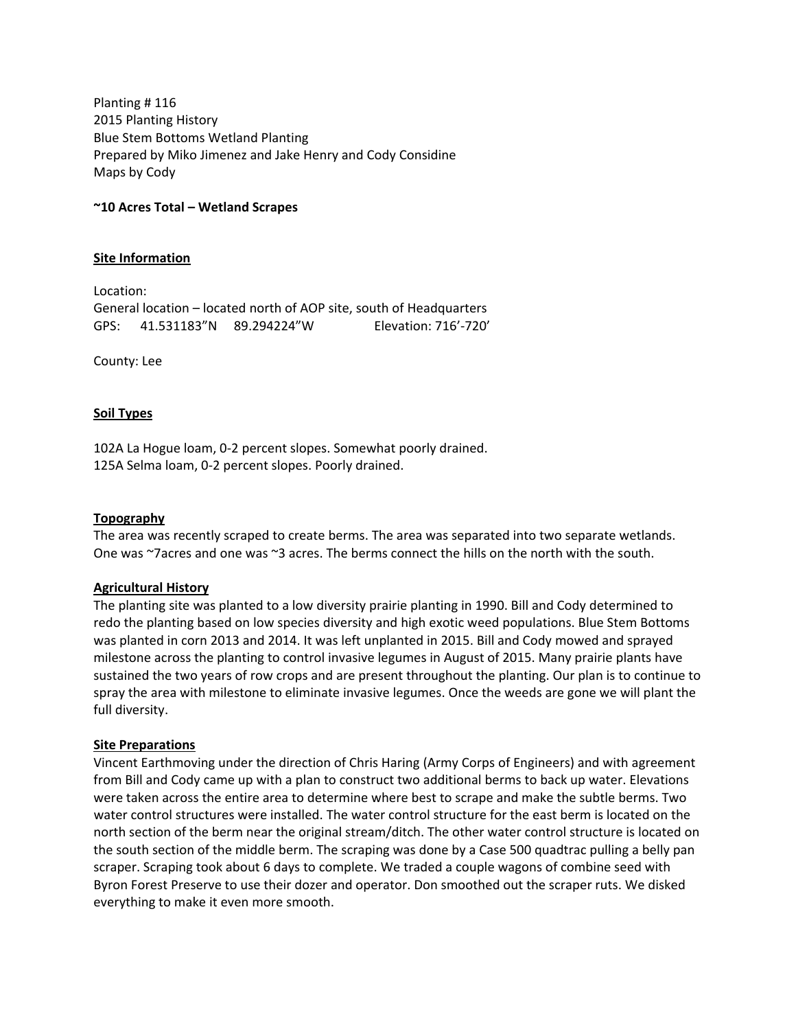Planting # 116 2015 Planting History Blue Stem Bottoms Wetland Planting Prepared by Miko Jimenez and Jake Henry and Cody Considine Maps by Cody

#### **~10 Acres Total – Wetland Scrapes**

#### **Site Information**

Location: General location – located north of AOP site, south of Headquarters GPS: 41.531183"N 89.294224"W Elevation: 716'‐720'

County: Lee

#### **Soil Types**

102A La Hogue loam, 0‐2 percent slopes. Somewhat poorly drained. 125A Selma loam, 0‐2 percent slopes. Poorly drained.

#### **Topography**

The area was recently scraped to create berms. The area was separated into two separate wetlands. One was ~7acres and one was ~3 acres. The berms connect the hills on the north with the south.

#### **Agricultural History**

The planting site was planted to a low diversity prairie planting in 1990. Bill and Cody determined to redo the planting based on low species diversity and high exotic weed populations. Blue Stem Bottoms was planted in corn 2013 and 2014. It was left unplanted in 2015. Bill and Cody mowed and sprayed milestone across the planting to control invasive legumes in August of 2015. Many prairie plants have sustained the two years of row crops and are present throughout the planting. Our plan is to continue to spray the area with milestone to eliminate invasive legumes. Once the weeds are gone we will plant the full diversity.

#### **Site Preparations**

Vincent Earthmoving under the direction of Chris Haring (Army Corps of Engineers) and with agreement from Bill and Cody came up with a plan to construct two additional berms to back up water. Elevations were taken across the entire area to determine where best to scrape and make the subtle berms. Two water control structures were installed. The water control structure for the east berm is located on the north section of the berm near the original stream/ditch. The other water control structure is located on the south section of the middle berm. The scraping was done by a Case 500 quadtrac pulling a belly pan scraper. Scraping took about 6 days to complete. We traded a couple wagons of combine seed with Byron Forest Preserve to use their dozer and operator. Don smoothed out the scraper ruts. We disked everything to make it even more smooth.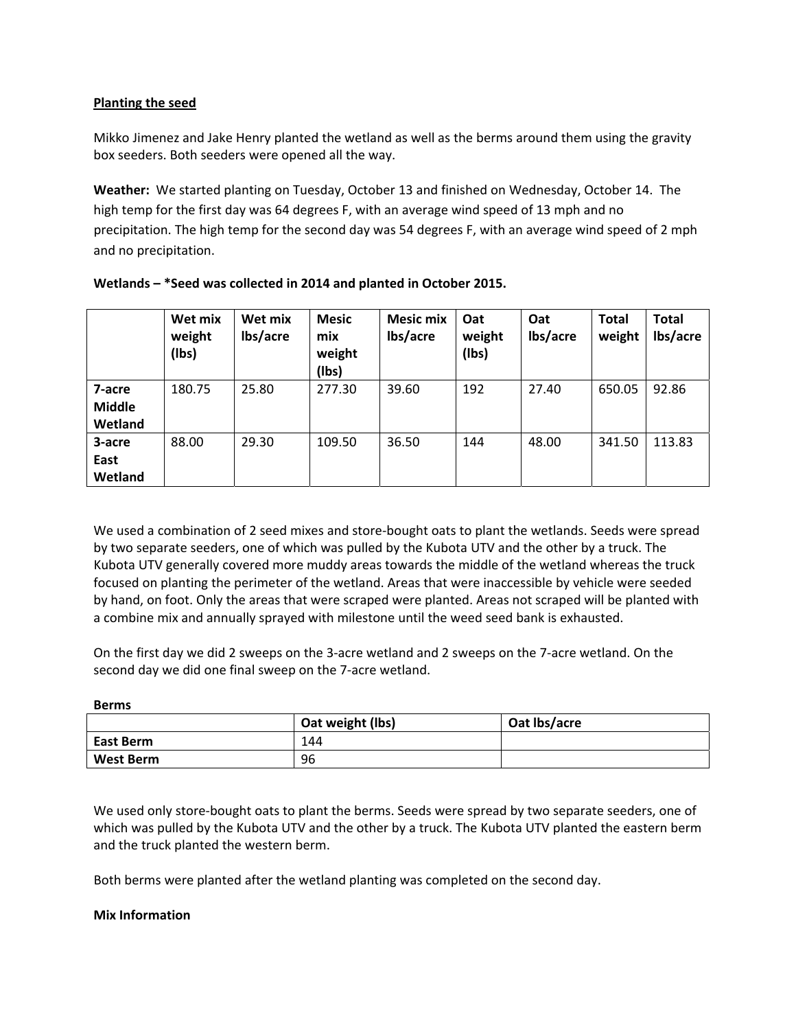#### **Planting the seed**

Mikko Jimenez and Jake Henry planted the wetland as well as the berms around them using the gravity box seeders. Both seeders were opened all the way.

**Weather:** We started planting on Tuesday, October 13 and finished on Wednesday, October 14. The high temp for the first day was 64 degrees F, with an average wind speed of 13 mph and no precipitation. The high temp for the second day was 54 degrees F, with an average wind speed of 2 mph and no precipitation.

|                                    | Wet mix<br>weight<br>(Ibs) | Wet mix<br>lbs/acre | <b>Mesic</b><br>mix<br>weight<br>(lbs) | <b>Mesic mix</b><br>lbs/acre | Oat<br>weight<br>(lbs) | Oat<br>lbs/acre | <b>Total</b><br>weight | <b>Total</b><br>lbs/acre |
|------------------------------------|----------------------------|---------------------|----------------------------------------|------------------------------|------------------------|-----------------|------------------------|--------------------------|
| 7-acre<br><b>Middle</b><br>Wetland | 180.75                     | 25.80               | 277.30                                 | 39.60                        | 192                    | 27.40           | 650.05                 | 92.86                    |
| 3-acre<br>East<br>Wetland          | 88.00                      | 29.30               | 109.50                                 | 36.50                        | 144                    | 48.00           | 341.50                 | 113.83                   |

**Wetlands – \*Seed was collected in 2014 and planted in October 2015.**

We used a combination of 2 seed mixes and store-bought oats to plant the wetlands. Seeds were spread by two separate seeders, one of which was pulled by the Kubota UTV and the other by a truck. The Kubota UTV generally covered more muddy areas towards the middle of the wetland whereas the truck focused on planting the perimeter of the wetland. Areas that were inaccessible by vehicle were seeded by hand, on foot. Only the areas that were scraped were planted. Areas not scraped will be planted with a combine mix and annually sprayed with milestone until the weed seed bank is exhausted.

On the first day we did 2 sweeps on the 3‐acre wetland and 2 sweeps on the 7‐acre wetland. On the second day we did one final sweep on the 7‐acre wetland.

| ------           |                  |              |  |  |
|------------------|------------------|--------------|--|--|
|                  | Oat weight (lbs) | Oat Ibs/acre |  |  |
| East Berm        | 144              |              |  |  |
| <b>West Berm</b> | 96               |              |  |  |

We used only store-bought oats to plant the berms. Seeds were spread by two separate seeders, one of which was pulled by the Kubota UTV and the other by a truck. The Kubota UTV planted the eastern berm and the truck planted the western berm.

Both berms were planted after the wetland planting was completed on the second day.

#### **Mix Information**

**Berms**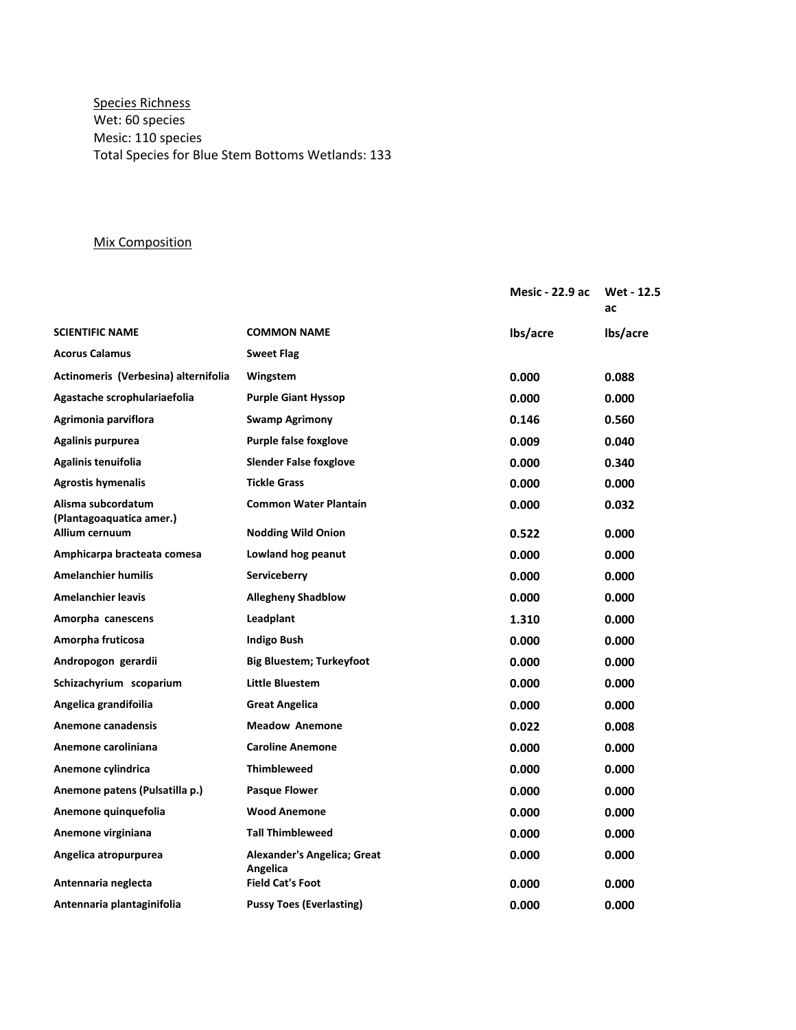Species Richness Wet: 60 species Mesic: 110 species Total Species for Blue Stem Bottoms Wetlands: 133

#### Mix Composition

|                                                |                                         | <b>Mesic - 22.9 ac</b> | Wet - 12.5<br>ac |
|------------------------------------------------|-----------------------------------------|------------------------|------------------|
| <b>SCIENTIFIC NAME</b>                         | <b>COMMON NAME</b>                      | lbs/acre               | lbs/acre         |
| <b>Acorus Calamus</b>                          | <b>Sweet Flag</b>                       |                        |                  |
| Actinomeris (Verbesina) alternifolia           | Wingstem                                | 0.000                  | 0.088            |
| Agastache scrophulariaefolia                   | <b>Purple Giant Hyssop</b>              | 0.000                  | 0.000            |
| Agrimonia parviflora                           | <b>Swamp Agrimony</b>                   | 0.146                  | 0.560            |
| Agalinis purpurea                              | <b>Purple false foxglove</b>            | 0.009                  | 0.040            |
| Agalinis tenuifolia                            | <b>Slender False foxglove</b>           | 0.000                  | 0.340            |
| <b>Agrostis hymenalis</b>                      | <b>Tickle Grass</b>                     | 0.000                  | 0.000            |
| Alisma subcordatum<br>(Plantagoaquatica amer.) | <b>Common Water Plantain</b>            | 0.000                  | 0.032            |
| <b>Allium cernuum</b>                          | <b>Nodding Wild Onion</b>               | 0.522                  | 0.000            |
| Amphicarpa bracteata comesa                    | Lowland hog peanut                      | 0.000                  | 0.000            |
| <b>Amelanchier humilis</b>                     | <b>Serviceberry</b>                     | 0.000                  | 0.000            |
| <b>Amelanchier leavis</b>                      | <b>Allegheny Shadblow</b>               | 0.000                  | 0.000            |
| Amorpha canescens                              | Leadplant                               | 1.310                  | 0.000            |
| Amorpha fruticosa                              | Indigo Bush                             | 0.000                  | 0.000            |
| Andropogon gerardii                            | <b>Big Bluestem; Turkeyfoot</b>         | 0.000                  | 0.000            |
| Schizachyrium scoparium                        | Little Bluestem                         | 0.000                  | 0.000            |
| Angelica grandifoilia                          | <b>Great Angelica</b>                   | 0.000                  | 0.000            |
| Anemone canadensis                             | <b>Meadow Anemone</b>                   | 0.022                  | 0.008            |
| Anemone caroliniana                            | <b>Caroline Anemone</b>                 | 0.000                  | 0.000            |
| Anemone cylindrica                             | <b>Thimbleweed</b>                      | 0.000                  | 0.000            |
| Anemone patens (Pulsatilla p.)                 | <b>Pasque Flower</b>                    | 0.000                  | 0.000            |
| Anemone quinquefolia                           | <b>Wood Anemone</b>                     | 0.000                  | 0.000            |
| Anemone virginiana                             | <b>Tall Thimbleweed</b>                 | 0.000                  | 0.000            |
| Angelica atropurpurea                          | Alexander's Angelica; Great<br>Angelica | 0.000                  | 0.000            |
| Antennaria neglecta                            | <b>Field Cat's Foot</b>                 | 0.000                  | 0.000            |
| Antennaria plantaginifolia                     | <b>Pussy Toes (Everlasting)</b>         | 0.000                  | 0.000            |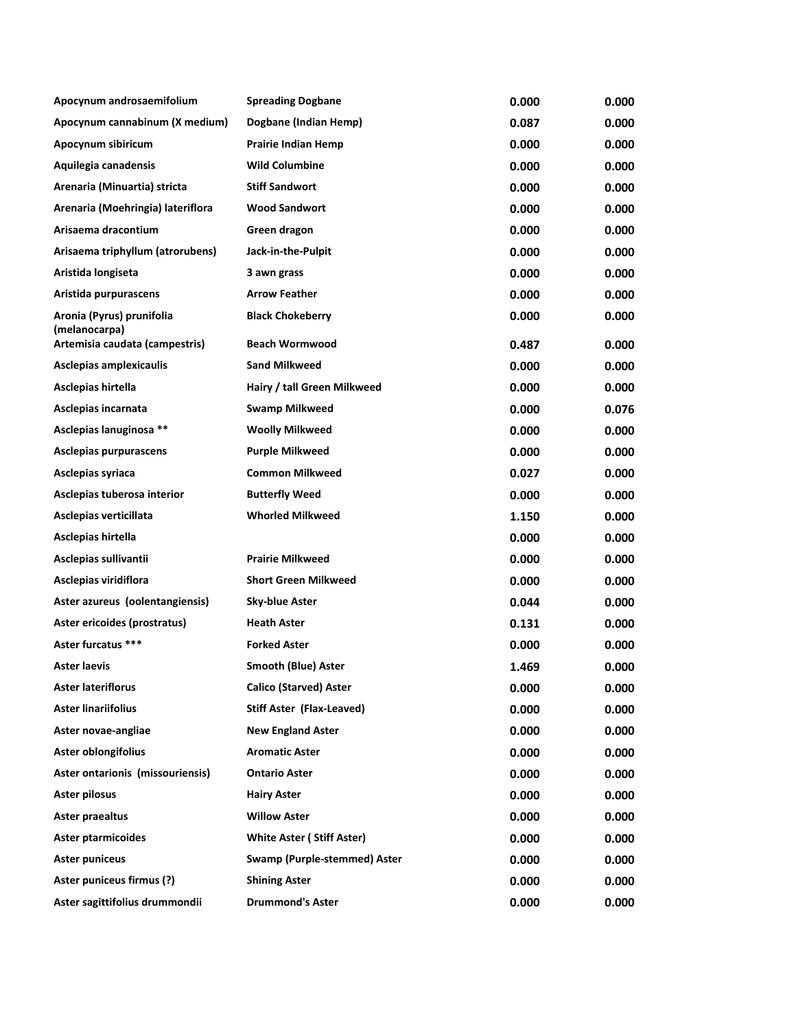| Apocynum androsaemifolium                  | <b>Spreading Dogbane</b>         | 0.000 | 0.000 |
|--------------------------------------------|----------------------------------|-------|-------|
| Apocynum cannabinum (X medium)             | Dogbane (Indian Hemp)            | 0.087 | 0.000 |
| Apocynum sibiricum                         | <b>Prairie Indian Hemp</b>       | 0.000 | 0.000 |
| Aquilegia canadensis                       | <b>Wild Columbine</b>            | 0.000 | 0.000 |
| Arenaria (Minuartia) stricta               | <b>Stiff Sandwort</b>            | 0.000 | 0.000 |
| Arenaria (Moehringia) lateriflora          | <b>Wood Sandwort</b>             | 0.000 | 0.000 |
| Arisaema dracontium                        | Green dragon                     | 0.000 | 0.000 |
| Arisaema triphyllum (atrorubens)           | Jack-in-the-Pulpit               | 0.000 | 0.000 |
| Aristida longiseta                         | 3 awn grass                      | 0.000 | 0.000 |
| Aristida purpurascens                      | <b>Arrow Feather</b>             | 0.000 | 0.000 |
| Aronia (Pyrus) prunifolia<br>(melanocarpa) | <b>Black Chokeberry</b>          | 0.000 | 0.000 |
| Artemisia caudata (campestris)             | <b>Beach Wormwood</b>            | 0.487 | 0.000 |
| Asclepias amplexicaulis                    | <b>Sand Milkweed</b>             | 0.000 | 0.000 |
| Asclepias hirtella                         | Hairy / tall Green Milkweed      | 0.000 | 0.000 |
| Asclepias incarnata                        | <b>Swamp Milkweed</b>            | 0.000 | 0.076 |
| Asclepias lanuginosa **                    | <b>Woolly Milkweed</b>           | 0.000 | 0.000 |
| Asclepias purpurascens                     | <b>Purple Milkweed</b>           | 0.000 | 0.000 |
| Asclepias syriaca                          | <b>Common Milkweed</b>           | 0.027 | 0.000 |
| Asclepias tuberosa interior                | <b>Butterfly Weed</b>            | 0.000 | 0.000 |
| Asclepias verticillata                     | <b>Whorled Milkweed</b>          | 1.150 | 0.000 |
| Asclepias hirtella                         |                                  | 0.000 | 0.000 |
| Asclepias sullivantii                      | <b>Prairie Milkweed</b>          | 0.000 | 0.000 |
| Asclepias viridiflora                      | <b>Short Green Milkweed</b>      | 0.000 | 0.000 |
| Aster azureus (oolentangiensis)            | Sky-blue Aster                   | 0.044 | 0.000 |
| Aster ericoides (prostratus)               | <b>Heath Aster</b>               | 0.131 | 0.000 |
| Aster furcatus ***                         | <b>Forked Aster</b>              | 0.000 | 0.000 |
| <b>Aster laevis</b>                        | <b>Smooth (Blue) Aster</b>       | 1.469 | 0.000 |
| <b>Aster lateriflorus</b>                  | <b>Calico (Starved) Aster</b>    | 0.000 | 0.000 |
| <b>Aster linariifolius</b>                 | Stiff Aster (Flax-Leaved)        | 0.000 | 0.000 |
| Aster novae-angliae                        | <b>New England Aster</b>         | 0.000 | 0.000 |
| <b>Aster oblongifolius</b>                 | <b>Aromatic Aster</b>            | 0.000 | 0.000 |
| Aster ontarionis (missouriensis)           | <b>Ontario Aster</b>             | 0.000 | 0.000 |
| <b>Aster pilosus</b>                       | <b>Hairy Aster</b>               | 0.000 | 0.000 |
| Aster praealtus                            | <b>Willow Aster</b>              | 0.000 | 0.000 |
| <b>Aster ptarmicoides</b>                  | <b>White Aster (Stiff Aster)</b> | 0.000 | 0.000 |
| <b>Aster puniceus</b>                      | Swamp (Purple-stemmed) Aster     | 0.000 | 0.000 |
| Aster puniceus firmus (?)                  | <b>Shining Aster</b>             | 0.000 | 0.000 |
| Aster sagittifolius drummondii             | <b>Drummond's Aster</b>          | 0.000 | 0.000 |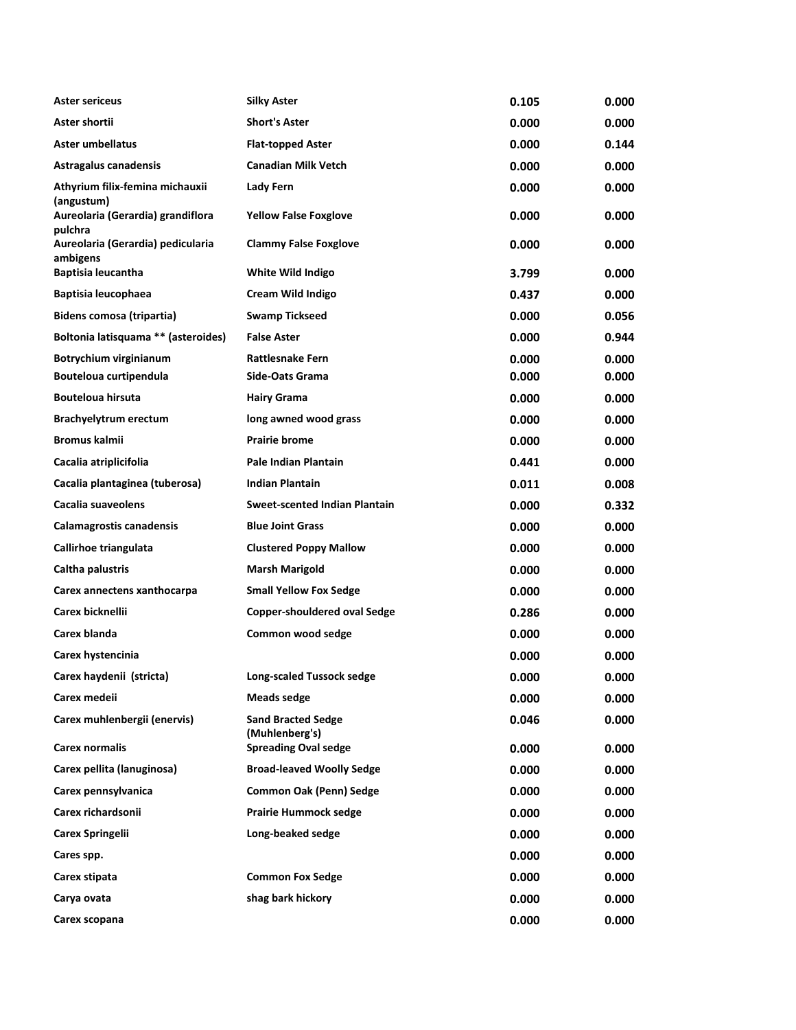| <b>Aster sericeus</b>                         | <b>Silky Aster</b>                          | 0.105 | 0.000 |
|-----------------------------------------------|---------------------------------------------|-------|-------|
| Aster shortii                                 | <b>Short's Aster</b>                        | 0.000 | 0.000 |
| <b>Aster umbellatus</b>                       | <b>Flat-topped Aster</b>                    | 0.000 | 0.144 |
| Astragalus canadensis                         | <b>Canadian Milk Vetch</b>                  | 0.000 | 0.000 |
| Athyrium filix-femina michauxii<br>(angustum) | <b>Lady Fern</b>                            | 0.000 | 0.000 |
| Aureolaria (Gerardia) grandiflora<br>pulchra  | <b>Yellow False Foxglove</b>                | 0.000 | 0.000 |
| Aureolaria (Gerardia) pedicularia<br>ambigens | <b>Clammy False Foxglove</b>                | 0.000 | 0.000 |
| Baptisia leucantha                            | <b>White Wild Indigo</b>                    | 3.799 | 0.000 |
| Baptisia leucophaea                           | <b>Cream Wild Indigo</b>                    | 0.437 | 0.000 |
| Bidens comosa (tripartia)                     | <b>Swamp Tickseed</b>                       | 0.000 | 0.056 |
| Boltonia latisquama ** (asteroides)           | <b>False Aster</b>                          | 0.000 | 0.944 |
| Botrychium virginianum                        | <b>Rattlesnake Fern</b>                     | 0.000 | 0.000 |
| Bouteloua curtipendula                        | <b>Side-Oats Grama</b>                      | 0.000 | 0.000 |
| <b>Bouteloua hirsuta</b>                      | <b>Hairy Grama</b>                          | 0.000 | 0.000 |
| Brachyelytrum erectum                         | long awned wood grass                       | 0.000 | 0.000 |
| <b>Bromus kalmii</b>                          | <b>Prairie brome</b>                        | 0.000 | 0.000 |
| Cacalia atriplicifolia                        | Pale Indian Plantain                        | 0.441 | 0.000 |
| Cacalia plantaginea (tuberosa)                | <b>Indian Plantain</b>                      | 0.011 | 0.008 |
| Cacalia suaveolens                            | <b>Sweet-scented Indian Plantain</b>        | 0.000 | 0.332 |
| <b>Calamagrostis canadensis</b>               | <b>Blue Joint Grass</b>                     | 0.000 | 0.000 |
| Callirhoe triangulata                         | <b>Clustered Poppy Mallow</b>               | 0.000 | 0.000 |
| Caltha palustris                              | <b>Marsh Marigold</b>                       | 0.000 | 0.000 |
| Carex annectens xanthocarpa                   | <b>Small Yellow Fox Sedge</b>               | 0.000 | 0.000 |
| Carex bicknellii                              | <b>Copper-shouldered oval Sedge</b>         | 0.286 | 0.000 |
| Carex blanda                                  | Common wood sedge                           | 0.000 | 0.000 |
| Carex hystencinia                             |                                             | 0.000 | 0.000 |
| Carex haydenii (stricta)                      | <b>Long-scaled Tussock sedge</b>            | 0.000 | 0.000 |
| Carex medeii                                  | <b>Meads sedge</b>                          | 0.000 | 0.000 |
| Carex muhlenbergii (enervis)                  | <b>Sand Bracted Sedge</b><br>(Muhlenberg's) | 0.046 | 0.000 |
| Carex normalis                                | <b>Spreading Oval sedge</b>                 | 0.000 | 0.000 |
| Carex pellita (lanuginosa)                    | <b>Broad-leaved Woolly Sedge</b>            | 0.000 | 0.000 |
| Carex pennsylvanica                           | <b>Common Oak (Penn) Sedge</b>              | 0.000 | 0.000 |
| Carex richardsonii                            | <b>Prairie Hummock sedge</b>                | 0.000 | 0.000 |
| <b>Carex Springelii</b>                       | Long-beaked sedge                           | 0.000 | 0.000 |
| Cares spp.                                    |                                             | 0.000 | 0.000 |
| Carex stipata                                 | <b>Common Fox Sedge</b>                     | 0.000 | 0.000 |
| Carya ovata                                   | shag bark hickory                           | 0.000 | 0.000 |
| Carex scopana                                 |                                             | 0.000 | 0.000 |
|                                               |                                             |       |       |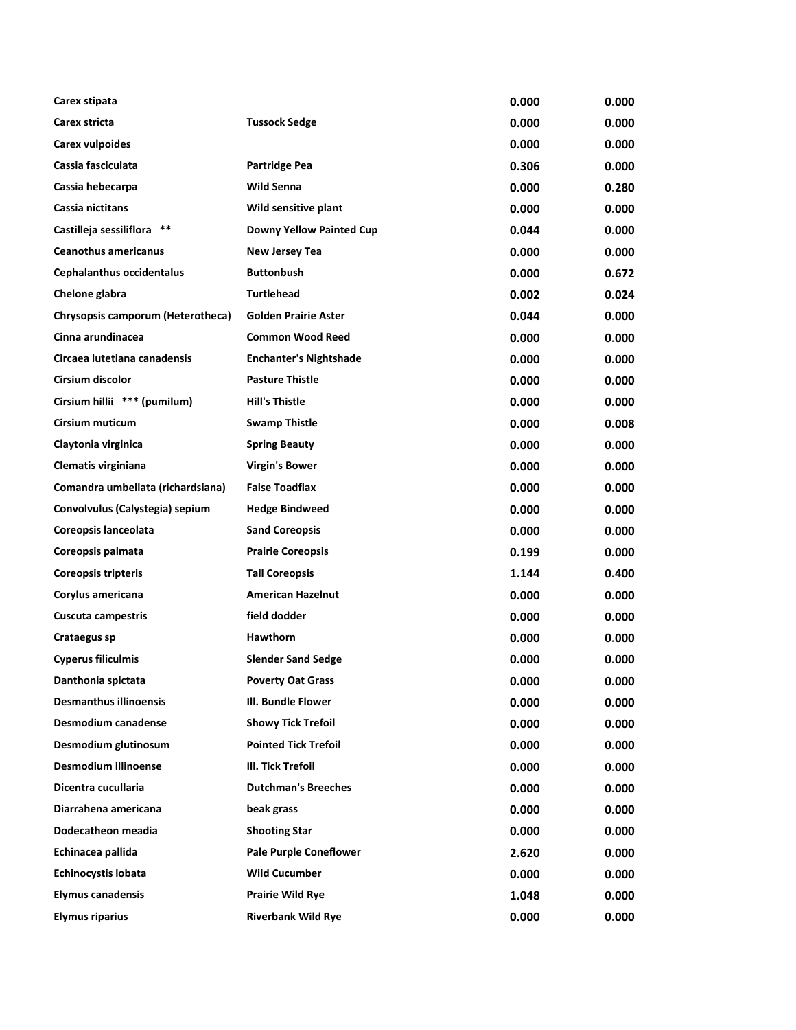| Carex stipata                     |                                 | 0.000 | 0.000 |
|-----------------------------------|---------------------------------|-------|-------|
| Carex stricta                     | <b>Tussock Sedge</b>            | 0.000 | 0.000 |
| Carex vulpoides                   |                                 | 0.000 | 0.000 |
| Cassia fasciculata                | <b>Partridge Pea</b>            | 0.306 | 0.000 |
| Cassia hebecarpa                  | <b>Wild Senna</b>               | 0.000 | 0.280 |
| Cassia nictitans                  | Wild sensitive plant            | 0.000 | 0.000 |
| **<br>Castilleja sessiliflora     | <b>Downy Yellow Painted Cup</b> | 0.044 | 0.000 |
| <b>Ceanothus americanus</b>       | New Jersey Tea                  | 0.000 | 0.000 |
| <b>Cephalanthus occidentalus</b>  | <b>Buttonbush</b>               | 0.000 | 0.672 |
| Chelone glabra                    | <b>Turtlehead</b>               | 0.002 | 0.024 |
| Chrysopsis camporum (Heterotheca) | <b>Golden Prairie Aster</b>     | 0.044 | 0.000 |
| Cinna arundinacea                 | <b>Common Wood Reed</b>         | 0.000 | 0.000 |
| Circaea lutetiana canadensis      | <b>Enchanter's Nightshade</b>   | 0.000 | 0.000 |
| Cirsium discolor                  | <b>Pasture Thistle</b>          | 0.000 | 0.000 |
| Cirsium hillii *** (pumilum)      | <b>Hill's Thistle</b>           | 0.000 | 0.000 |
| Cirsium muticum                   | <b>Swamp Thistle</b>            | 0.000 | 0.008 |
| Claytonia virginica               | <b>Spring Beauty</b>            | 0.000 | 0.000 |
| Clematis virginiana               | <b>Virgin's Bower</b>           | 0.000 | 0.000 |
| Comandra umbellata (richardsiana) | <b>False Toadflax</b>           | 0.000 | 0.000 |
| Convolvulus (Calystegia) sepium   | <b>Hedge Bindweed</b>           | 0.000 | 0.000 |
| Coreopsis lanceolata              | <b>Sand Coreopsis</b>           | 0.000 | 0.000 |
| Coreopsis palmata                 | <b>Prairie Coreopsis</b>        | 0.199 | 0.000 |
| Coreopsis tripteris               | <b>Tall Coreopsis</b>           | 1.144 | 0.400 |
| Corylus americana                 | <b>American Hazelnut</b>        | 0.000 | 0.000 |
| Cuscuta campestris                | field dodder                    | 0.000 | 0.000 |
| Crataegus sp                      | <b>Hawthorn</b>                 | 0.000 | 0.000 |
| <b>Cyperus filiculmis</b>         | <b>Slender Sand Sedge</b>       | 0.000 | 0.000 |
| Danthonia spictata                | <b>Poverty Oat Grass</b>        | 0.000 | 0.000 |
| <b>Desmanthus illinoensis</b>     | III. Bundle Flower              | 0.000 | 0.000 |
| <b>Desmodium canadense</b>        | <b>Showy Tick Trefoil</b>       | 0.000 | 0.000 |
| Desmodium glutinosum              | <b>Pointed Tick Trefoil</b>     | 0.000 | 0.000 |
| Desmodium illinoense              | III. Tick Trefoil               | 0.000 | 0.000 |
| Dicentra cucullaria               | <b>Dutchman's Breeches</b>      | 0.000 | 0.000 |
| Diarrahena americana              | beak grass                      | 0.000 | 0.000 |
| Dodecatheon meadia                | <b>Shooting Star</b>            | 0.000 | 0.000 |
| Echinacea pallida                 | <b>Pale Purple Coneflower</b>   | 2.620 | 0.000 |
| <b>Echinocystis lobata</b>        | <b>Wild Cucumber</b>            | 0.000 | 0.000 |
| <b>Elymus canadensis</b>          | <b>Prairie Wild Rye</b>         | 1.048 | 0.000 |
| <b>Elymus riparius</b>            | <b>Riverbank Wild Rye</b>       | 0.000 | 0.000 |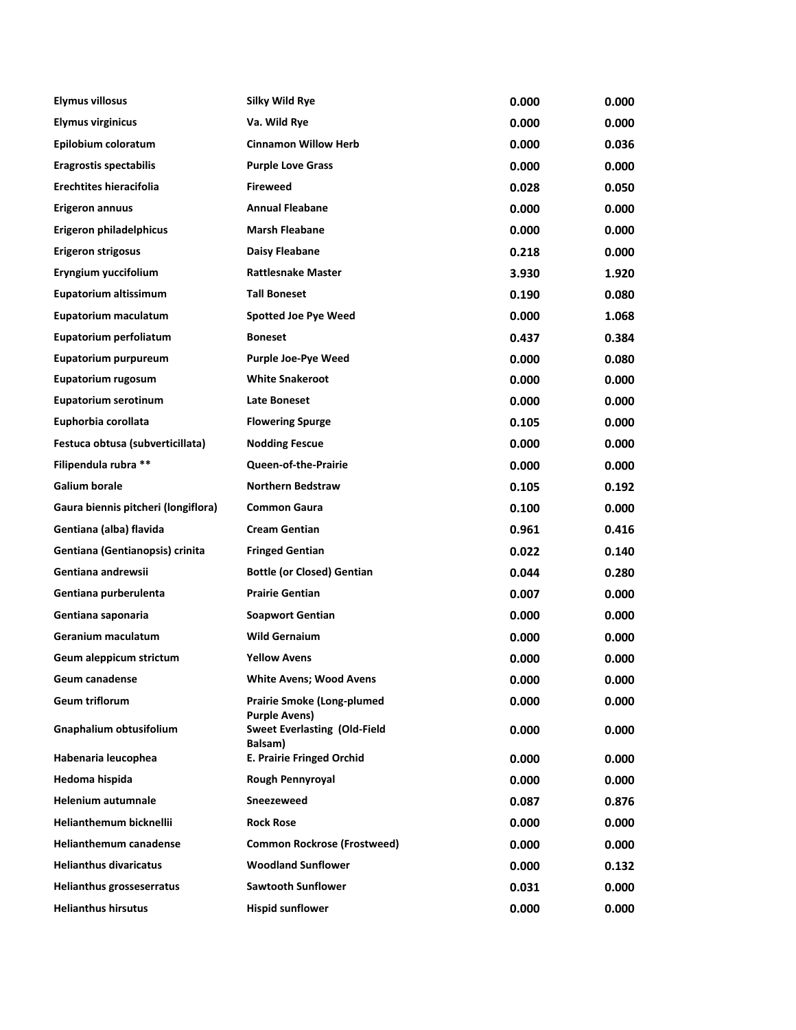| <b>Elymus villosus</b>              | Silky Wild Rye                                     | 0.000 | 0.000 |
|-------------------------------------|----------------------------------------------------|-------|-------|
| <b>Elymus virginicus</b>            | Va. Wild Rye                                       | 0.000 | 0.000 |
| Epilobium coloratum                 | <b>Cinnamon Willow Herb</b>                        | 0.000 | 0.036 |
| <b>Eragrostis spectabilis</b>       | <b>Purple Love Grass</b>                           | 0.000 | 0.000 |
| <b>Erechtites hieracifolia</b>      | <b>Fireweed</b>                                    | 0.028 | 0.050 |
| <b>Erigeron annuus</b>              | <b>Annual Fleabane</b>                             | 0.000 | 0.000 |
| Erigeron philadelphicus             | <b>Marsh Fleabane</b>                              | 0.000 | 0.000 |
| <b>Erigeron strigosus</b>           | <b>Daisy Fleabane</b>                              | 0.218 | 0.000 |
| Eryngium yuccifolium                | <b>Rattlesnake Master</b>                          | 3.930 | 1.920 |
| Eupatorium altissimum               | <b>Tall Boneset</b>                                | 0.190 | 0.080 |
| Eupatorium maculatum                | <b>Spotted Joe Pye Weed</b>                        | 0.000 | 1.068 |
| Eupatorium perfoliatum              | <b>Boneset</b>                                     | 0.437 | 0.384 |
| Eupatorium purpureum                | <b>Purple Joe-Pye Weed</b>                         | 0.000 | 0.080 |
| Eupatorium rugosum                  | <b>White Snakeroot</b>                             | 0.000 | 0.000 |
| <b>Eupatorium serotinum</b>         | Late Boneset                                       | 0.000 | 0.000 |
| Euphorbia corollata                 | <b>Flowering Spurge</b>                            | 0.105 | 0.000 |
| Festuca obtusa (subverticillata)    | <b>Nodding Fescue</b>                              | 0.000 | 0.000 |
| Filipendula rubra **                | Queen-of-the-Prairie                               | 0.000 | 0.000 |
| <b>Galium borale</b>                | <b>Northern Bedstraw</b>                           | 0.105 | 0.192 |
| Gaura biennis pitcheri (longiflora) | <b>Common Gaura</b>                                | 0.100 | 0.000 |
| Gentiana (alba) flavida             | <b>Cream Gentian</b>                               | 0.961 | 0.416 |
| Gentiana (Gentianopsis) crinita     | <b>Fringed Gentian</b>                             | 0.022 | 0.140 |
| Gentiana andrewsii                  | <b>Bottle (or Closed) Gentian</b>                  | 0.044 | 0.280 |
| Gentiana purberulenta               | <b>Prairie Gentian</b>                             | 0.007 | 0.000 |
| Gentiana saponaria                  | <b>Soapwort Gentian</b>                            | 0.000 | 0.000 |
| Geranium maculatum                  | <b>Wild Gernaium</b>                               | 0.000 | 0.000 |
| Geum aleppicum strictum             | <b>Yellow Avens</b>                                | 0.000 | 0.000 |
| Geum canadense                      | White Avens; Wood Avens                            | 0.000 | 0.000 |
| <b>Geum triflorum</b>               | Prairie Smoke (Long-plumed<br><b>Purple Avens)</b> | 0.000 | 0.000 |
| Gnaphalium obtusifolium             | <b>Sweet Everlasting (Old-Field</b><br>Balsam)     | 0.000 | 0.000 |
| Habenaria leucophea                 | <b>E. Prairie Fringed Orchid</b>                   | 0.000 | 0.000 |
| Hedoma hispida                      | <b>Rough Pennyroyal</b>                            | 0.000 | 0.000 |
| <b>Helenium autumnale</b>           | Sneezeweed                                         | 0.087 | 0.876 |
| <b>Helianthemum bicknellii</b>      | <b>Rock Rose</b>                                   | 0.000 | 0.000 |
| <b>Helianthemum canadense</b>       | <b>Common Rockrose (Frostweed)</b>                 | 0.000 | 0.000 |
| <b>Helianthus divaricatus</b>       | <b>Woodland Sunflower</b>                          | 0.000 | 0.132 |
| Helianthus grosseserratus           | <b>Sawtooth Sunflower</b>                          | 0.031 | 0.000 |
| <b>Helianthus hirsutus</b>          | <b>Hispid sunflower</b>                            | 0.000 | 0.000 |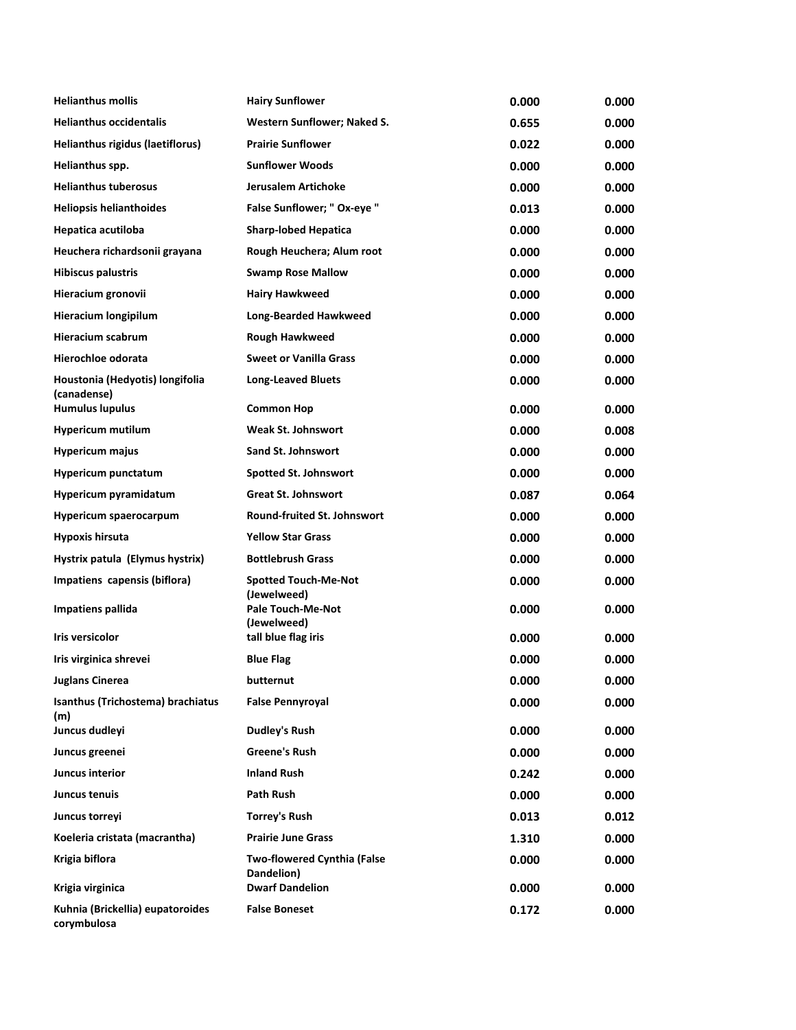| <b>Helianthus mollis</b>                        | <b>Hairy Sunflower</b>                           | 0.000 | 0.000 |
|-------------------------------------------------|--------------------------------------------------|-------|-------|
| <b>Helianthus occidentalis</b>                  | Western Sunflower; Naked S.                      | 0.655 | 0.000 |
| Helianthus rigidus (laetiflorus)                | <b>Prairie Sunflower</b>                         | 0.022 | 0.000 |
| Helianthus spp.                                 | <b>Sunflower Woods</b>                           | 0.000 | 0.000 |
| <b>Helianthus tuberosus</b>                     | Jerusalem Artichoke                              | 0.000 | 0.000 |
| <b>Heliopsis helianthoides</b>                  | False Sunflower; " Ox-eye "                      | 0.013 | 0.000 |
| Hepatica acutiloba                              | <b>Sharp-lobed Hepatica</b>                      | 0.000 | 0.000 |
| Heuchera richardsonii grayana                   | Rough Heuchera; Alum root                        | 0.000 | 0.000 |
| <b>Hibiscus palustris</b>                       | <b>Swamp Rose Mallow</b>                         | 0.000 | 0.000 |
| Hieracium gronovii                              | <b>Hairy Hawkweed</b>                            | 0.000 | 0.000 |
| Hieracium longipilum                            | <b>Long-Bearded Hawkweed</b>                     | 0.000 | 0.000 |
| Hieracium scabrum                               | <b>Rough Hawkweed</b>                            | 0.000 | 0.000 |
| Hierochloe odorata                              | <b>Sweet or Vanilla Grass</b>                    | 0.000 | 0.000 |
| Houstonia (Hedyotis) longifolia<br>(canadense)  | <b>Long-Leaved Bluets</b>                        | 0.000 | 0.000 |
| <b>Humulus lupulus</b>                          | <b>Common Hop</b>                                | 0.000 | 0.000 |
| <b>Hypericum mutilum</b>                        | Weak St. Johnswort                               | 0.000 | 0.008 |
| <b>Hypericum majus</b>                          | <b>Sand St. Johnswort</b>                        | 0.000 | 0.000 |
| <b>Hypericum punctatum</b>                      | <b>Spotted St. Johnswort</b>                     | 0.000 | 0.000 |
| Hypericum pyramidatum                           | <b>Great St. Johnswort</b>                       | 0.087 | 0.064 |
| Hypericum spaerocarpum                          | Round-fruited St. Johnswort                      | 0.000 | 0.000 |
| <b>Hypoxis hirsuta</b>                          | <b>Yellow Star Grass</b>                         | 0.000 | 0.000 |
| Hystrix patula (Elymus hystrix)                 | <b>Bottlebrush Grass</b>                         | 0.000 | 0.000 |
| Impatiens capensis (biflora)                    | <b>Spotted Touch-Me-Not</b><br>(Jewelweed)       | 0.000 | 0.000 |
| Impatiens pallida                               | Pale Touch-Me-Not<br>(Jewelweed)                 | 0.000 | 0.000 |
| <b>Iris versicolor</b>                          | tall blue flag iris                              | 0.000 | 0.000 |
| Iris virginica shrevei                          | <b>Blue Flag</b>                                 | 0.000 | 0.000 |
| <b>Juglans Cinerea</b>                          | butternut                                        | 0.000 | 0.000 |
| Isanthus (Trichostema) brachiatus<br>(m)        | <b>False Pennyroyal</b>                          | 0.000 | 0.000 |
| Juncus dudleyi                                  | <b>Dudley's Rush</b>                             | 0.000 | 0.000 |
| Juncus greenei                                  | <b>Greene's Rush</b>                             | 0.000 | 0.000 |
| Juncus interior                                 | <b>Inland Rush</b>                               | 0.242 | 0.000 |
| Juncus tenuis                                   | <b>Path Rush</b>                                 | 0.000 | 0.000 |
| Juncus torreyi                                  | <b>Torrey's Rush</b>                             | 0.013 | 0.012 |
| Koeleria cristata (macrantha)                   | <b>Prairie June Grass</b>                        | 1.310 | 0.000 |
| Krigia biflora                                  | <b>Two-flowered Cynthia (False</b><br>Dandelion) | 0.000 | 0.000 |
| Krigia virginica                                | <b>Dwarf Dandelion</b>                           | 0.000 | 0.000 |
| Kuhnia (Brickellia) eupatoroides<br>corymbulosa | <b>False Boneset</b>                             | 0.172 | 0.000 |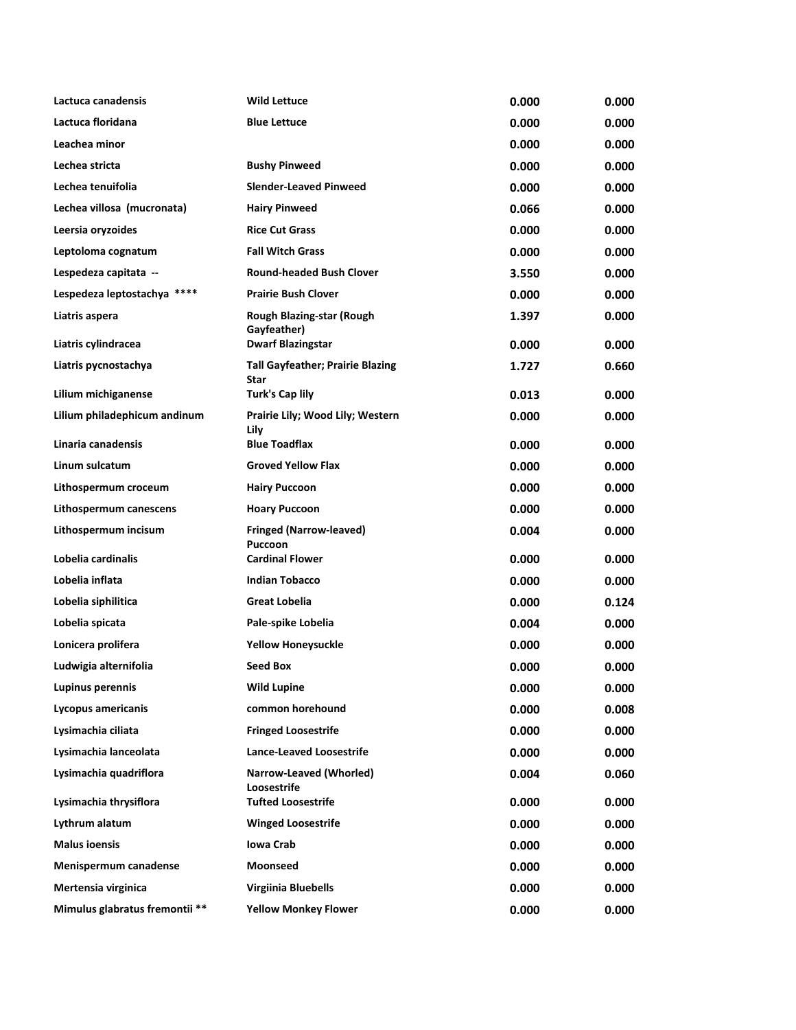| Lactuca canadensis             | <b>Wild Lettuce</b>                             | 0.000 | 0.000 |
|--------------------------------|-------------------------------------------------|-------|-------|
| Lactuca floridana              | <b>Blue Lettuce</b>                             | 0.000 | 0.000 |
| Leachea minor                  |                                                 | 0.000 | 0.000 |
| Lechea stricta                 | <b>Bushy Pinweed</b>                            | 0.000 | 0.000 |
| Lechea tenuifolia              | <b>Slender-Leaved Pinweed</b>                   | 0.000 | 0.000 |
| Lechea villosa (mucronata)     | <b>Hairy Pinweed</b>                            | 0.066 | 0.000 |
| Leersia oryzoides              | <b>Rice Cut Grass</b>                           | 0.000 | 0.000 |
| Leptoloma cognatum             | <b>Fall Witch Grass</b>                         | 0.000 | 0.000 |
| Lespedeza capitata --          | <b>Round-headed Bush Clover</b>                 | 3.550 | 0.000 |
| Lespedeza leptostachya ****    | <b>Prairie Bush Clover</b>                      | 0.000 | 0.000 |
| Liatris aspera                 | <b>Rough Blazing-star (Rough</b><br>Gayfeather) | 1.397 | 0.000 |
| Liatris cylindracea            | <b>Dwarf Blazingstar</b>                        | 0.000 | 0.000 |
| Liatris pycnostachya           | <b>Tall Gayfeather; Prairie Blazing</b><br>Star | 1.727 | 0.660 |
| Lilium michiganense            | Turk's Cap lily                                 | 0.013 | 0.000 |
| Lilium philadephicum andinum   | Prairie Lily; Wood Lily; Western<br>Lily        | 0.000 | 0.000 |
| Linaria canadensis             | <b>Blue Toadflax</b>                            | 0.000 | 0.000 |
| Linum sulcatum                 | <b>Groved Yellow Flax</b>                       | 0.000 | 0.000 |
| Lithospermum croceum           | <b>Hairy Puccoon</b>                            | 0.000 | 0.000 |
| Lithospermum canescens         | <b>Hoary Puccoon</b>                            | 0.000 | 0.000 |
| Lithospermum incisum           | <b>Fringed (Narrow-leaved)</b><br>Puccoon       | 0.004 | 0.000 |
| Lobelia cardinalis             | <b>Cardinal Flower</b>                          | 0.000 | 0.000 |
| Lobelia inflata                | <b>Indian Tobacco</b>                           | 0.000 | 0.000 |
| Lobelia siphilitica            | <b>Great Lobelia</b>                            | 0.000 | 0.124 |
| Lobelia spicata                | Pale-spike Lobelia                              | 0.004 | 0.000 |
| Lonicera prolifera             | <b>Yellow Honeysuckle</b>                       | 0.000 | 0.000 |
| Ludwigia alternifolia          | Seed Box                                        | 0.000 | 0.000 |
| Lupinus perennis               | <b>Wild Lupine</b>                              | 0.000 | 0.000 |
| Lycopus americanis             | common horehound                                | 0.000 | 0.008 |
| Lysimachia ciliata             | <b>Fringed Loosestrife</b>                      | 0.000 | 0.000 |
| Lysimachia lanceolata          | <b>Lance-Leaved Loosestrife</b>                 | 0.000 | 0.000 |
| Lysimachia quadriflora         | Narrow-Leaved (Whorled)<br>Loosestrife          | 0.004 | 0.060 |
| Lysimachia thrysiflora         | <b>Tufted Loosestrife</b>                       | 0.000 | 0.000 |
| Lythrum alatum                 | <b>Winged Loosestrife</b>                       | 0.000 | 0.000 |
| <b>Malus ioensis</b>           | Iowa Crab                                       | 0.000 | 0.000 |
| Menispermum canadense          | Moonseed                                        | 0.000 | 0.000 |
| Mertensia virginica            | Virgiinia Bluebells                             | 0.000 | 0.000 |
| Mimulus glabratus fremontii ** | <b>Yellow Monkey Flower</b>                     | 0.000 | 0.000 |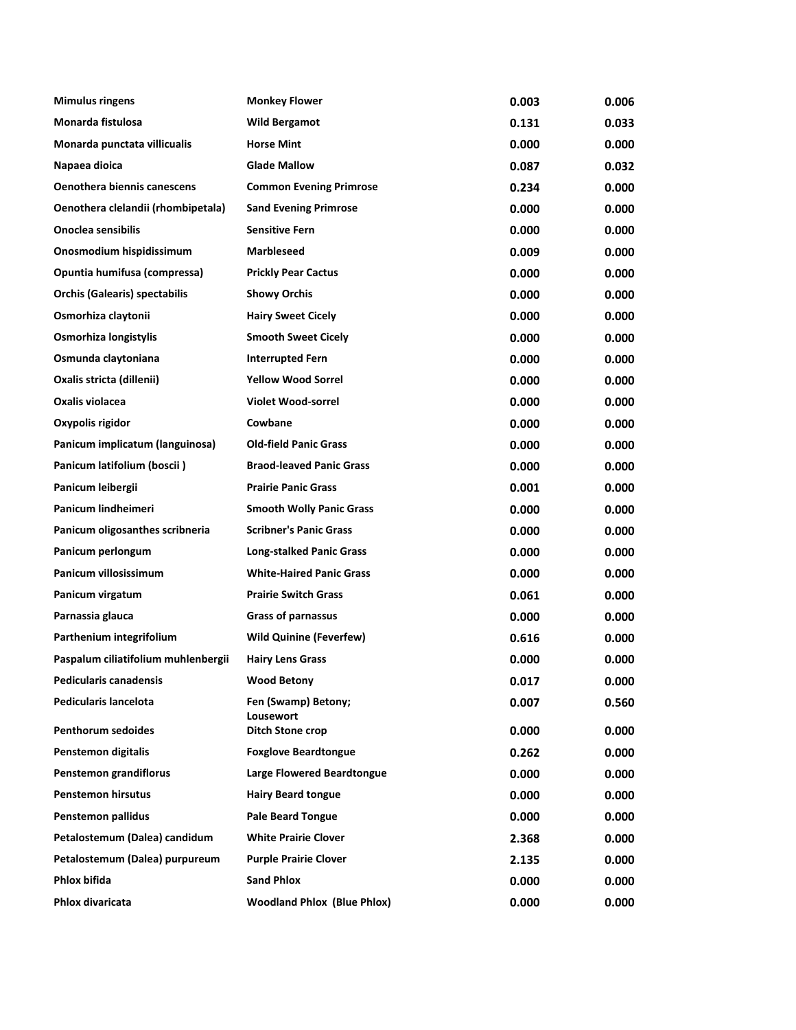| <b>Mimulus ringens</b>               | <b>Monkey Flower</b>               | 0.003 | 0.006 |
|--------------------------------------|------------------------------------|-------|-------|
| Monarda fistulosa                    | <b>Wild Bergamot</b>               | 0.131 | 0.033 |
| Monarda punctata villicualis         | <b>Horse Mint</b>                  | 0.000 | 0.000 |
| Napaea dioica                        | <b>Glade Mallow</b>                | 0.087 | 0.032 |
| <b>Oenothera biennis canescens</b>   | <b>Common Evening Primrose</b>     | 0.234 | 0.000 |
| Oenothera clelandii (rhombipetala)   | <b>Sand Evening Primrose</b>       | 0.000 | 0.000 |
| <b>Onoclea sensibilis</b>            | <b>Sensitive Fern</b>              | 0.000 | 0.000 |
| Onosmodium hispidissimum             | <b>Marbleseed</b>                  | 0.009 | 0.000 |
| Opuntia humifusa (compressa)         | <b>Prickly Pear Cactus</b>         | 0.000 | 0.000 |
| <b>Orchis (Galearis) spectabilis</b> | <b>Showy Orchis</b>                | 0.000 | 0.000 |
| Osmorhiza claytonii                  | <b>Hairy Sweet Cicely</b>          | 0.000 | 0.000 |
| Osmorhiza longistylis                | <b>Smooth Sweet Cicely</b>         | 0.000 | 0.000 |
| Osmunda claytoniana                  | <b>Interrupted Fern</b>            | 0.000 | 0.000 |
| Oxalis stricta (dillenii)            | <b>Yellow Wood Sorrel</b>          | 0.000 | 0.000 |
| Oxalis violacea                      | <b>Violet Wood-sorrel</b>          | 0.000 | 0.000 |
| Oxypolis rigidor                     | Cowbane                            | 0.000 | 0.000 |
| Panicum implicatum (languinosa)      | <b>Old-field Panic Grass</b>       | 0.000 | 0.000 |
| Panicum latifolium (boscii)          | <b>Braod-leaved Panic Grass</b>    | 0.000 | 0.000 |
| Panicum leibergii                    | <b>Prairie Panic Grass</b>         | 0.001 | 0.000 |
| Panicum lindheimeri                  | <b>Smooth Wolly Panic Grass</b>    | 0.000 | 0.000 |
| Panicum oligosanthes scribneria      | <b>Scribner's Panic Grass</b>      | 0.000 | 0.000 |
| Panicum perlongum                    | <b>Long-stalked Panic Grass</b>    | 0.000 | 0.000 |
| Panicum villosissimum                | <b>White-Haired Panic Grass</b>    | 0.000 | 0.000 |
| Panicum virgatum                     | <b>Prairie Switch Grass</b>        | 0.061 | 0.000 |
| Parnassia glauca                     | <b>Grass of parnassus</b>          | 0.000 | 0.000 |
| Parthenium integrifolium             | <b>Wild Quinine (Feverfew)</b>     | 0.616 | 0.000 |
| Paspalum ciliatifolium muhlenbergii  | <b>Hairy Lens Grass</b>            | 0.000 | 0.000 |
| Pedicularis canadensis               | Wood Betony                        | 0.017 | 0.000 |
| <b>Pedicularis lancelota</b>         | Fen (Swamp) Betony;<br>Lousewort   | 0.007 | 0.560 |
| <b>Penthorum sedoides</b>            | <b>Ditch Stone crop</b>            | 0.000 | 0.000 |
| Penstemon digitalis                  | <b>Foxglove Beardtongue</b>        | 0.262 | 0.000 |
| Penstemon grandiflorus               | Large Flowered Beardtongue         | 0.000 | 0.000 |
| <b>Penstemon hirsutus</b>            | <b>Hairy Beard tongue</b>          | 0.000 | 0.000 |
| <b>Penstemon pallidus</b>            | <b>Pale Beard Tongue</b>           | 0.000 | 0.000 |
| Petalostemum (Dalea) candidum        | <b>White Prairie Clover</b>        | 2.368 | 0.000 |
| Petalostemum (Dalea) purpureum       | <b>Purple Prairie Clover</b>       | 2.135 | 0.000 |
| Phlox bifida                         | <b>Sand Phlox</b>                  | 0.000 | 0.000 |
| Phlox divaricata                     | <b>Woodland Phlox (Blue Phlox)</b> | 0.000 | 0.000 |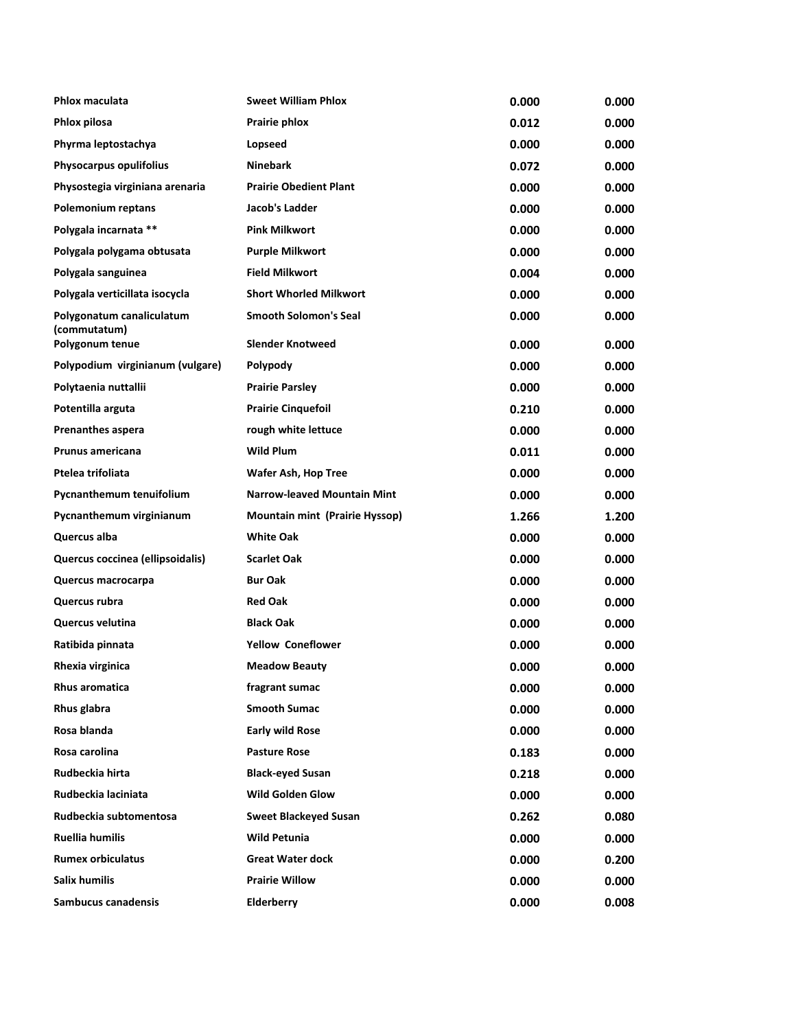| Phlox maculata                            | <b>Sweet William Phlox</b>         | 0.000 | 0.000 |
|-------------------------------------------|------------------------------------|-------|-------|
| Phlox pilosa                              | Prairie phlox                      | 0.012 | 0.000 |
| Phyrma leptostachya                       | Lopseed                            | 0.000 | 0.000 |
| Physocarpus opulifolius                   | <b>Ninebark</b>                    | 0.072 | 0.000 |
| Physostegia virginiana arenaria           | <b>Prairie Obedient Plant</b>      | 0.000 | 0.000 |
| Polemonium reptans                        | Jacob's Ladder                     | 0.000 | 0.000 |
| Polygala incarnata **                     | <b>Pink Milkwort</b>               | 0.000 | 0.000 |
| Polygala polygama obtusata                | <b>Purple Milkwort</b>             | 0.000 | 0.000 |
| Polygala sanguinea                        | <b>Field Milkwort</b>              | 0.004 | 0.000 |
| Polygala verticillata isocycla            | <b>Short Whorled Milkwort</b>      | 0.000 | 0.000 |
| Polygonatum canaliculatum<br>(commutatum) | <b>Smooth Solomon's Seal</b>       | 0.000 | 0.000 |
| Polygonum tenue                           | <b>Slender Knotweed</b>            | 0.000 | 0.000 |
| Polypodium virginianum (vulgare)          | Polypody                           | 0.000 | 0.000 |
| Polytaenia nuttallii                      | <b>Prairie Parsley</b>             | 0.000 | 0.000 |
| Potentilla arguta                         | <b>Prairie Cinquefoil</b>          | 0.210 | 0.000 |
| <b>Prenanthes aspera</b>                  | rough white lettuce                | 0.000 | 0.000 |
| <b>Prunus americana</b>                   | <b>Wild Plum</b>                   | 0.011 | 0.000 |
| Ptelea trifoliata                         | Wafer Ash, Hop Tree                | 0.000 | 0.000 |
| Pycnanthemum tenuifolium                  | <b>Narrow-leaved Mountain Mint</b> | 0.000 | 0.000 |
| Pycnanthemum virginianum                  | Mountain mint (Prairie Hyssop)     | 1.266 | 1.200 |
| Quercus alba                              | <b>White Oak</b>                   | 0.000 | 0.000 |
| Quercus coccinea (ellipsoidalis)          | <b>Scarlet Oak</b>                 | 0.000 | 0.000 |
| Quercus macrocarpa                        | <b>Bur Oak</b>                     | 0.000 | 0.000 |
| Quercus rubra                             | <b>Red Oak</b>                     | 0.000 | 0.000 |
| Quercus velutina                          | <b>Black Oak</b>                   | 0.000 | 0.000 |
| Ratibida pinnata                          | <b>Yellow Coneflower</b>           | 0.000 | 0.000 |
| Rhexia virginica                          | <b>Meadow Beauty</b>               | 0.000 | 0.000 |
| Rhus aromatica                            | fragrant sumac                     | 0.000 | 0.000 |
| Rhus glabra                               | <b>Smooth Sumac</b>                | 0.000 | 0.000 |
| Rosa blanda                               | <b>Early wild Rose</b>             | 0.000 | 0.000 |
| Rosa carolina                             | <b>Pasture Rose</b>                | 0.183 | 0.000 |
| Rudbeckia hirta                           | <b>Black-eyed Susan</b>            | 0.218 | 0.000 |
| Rudbeckia laciniata                       | <b>Wild Golden Glow</b>            | 0.000 | 0.000 |
| Rudbeckia subtomentosa                    | <b>Sweet Blackeyed Susan</b>       | 0.262 | 0.080 |
| Ruellia humilis                           | <b>Wild Petunia</b>                | 0.000 | 0.000 |
| <b>Rumex orbiculatus</b>                  | <b>Great Water dock</b>            | 0.000 | 0.200 |
| <b>Salix humilis</b>                      | <b>Prairie Willow</b>              | 0.000 | 0.000 |
| Sambucus canadensis                       | Elderberry                         | 0.000 | 0.008 |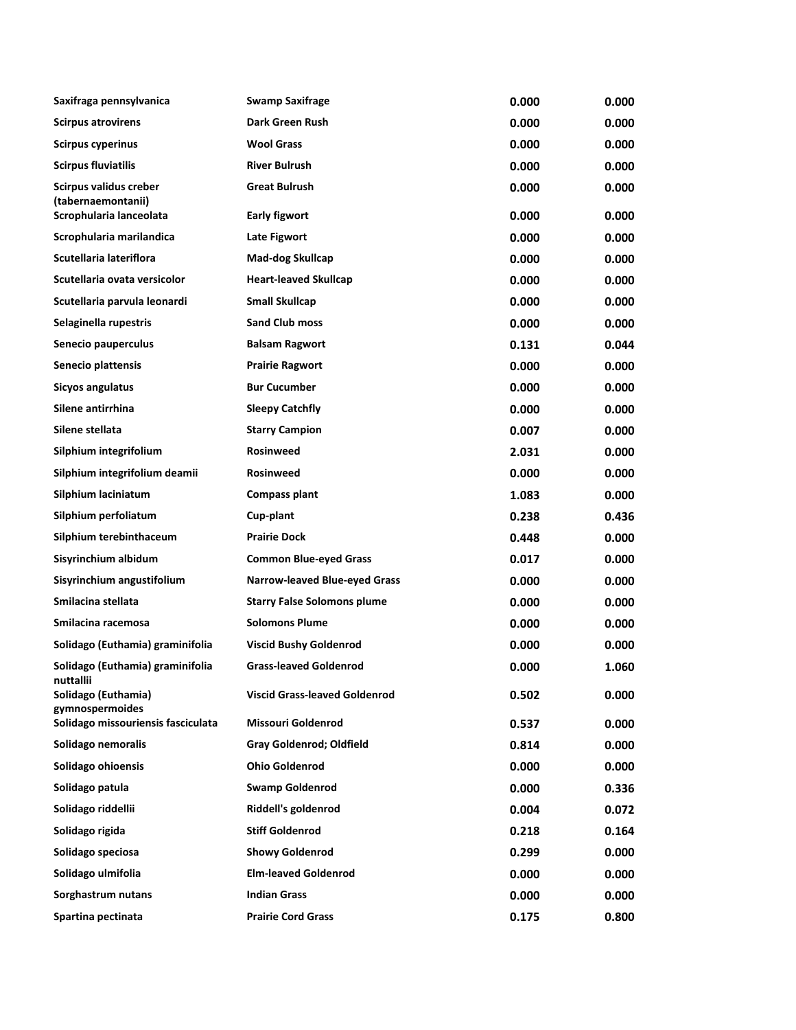| Saxifraga pennsylvanica                       | <b>Swamp Saxifrage</b>               | 0.000 | 0.000 |
|-----------------------------------------------|--------------------------------------|-------|-------|
| <b>Scirpus atrovirens</b>                     | Dark Green Rush                      | 0.000 | 0.000 |
| <b>Scirpus cyperinus</b>                      | <b>Wool Grass</b>                    | 0.000 | 0.000 |
| <b>Scirpus fluviatilis</b>                    | <b>River Bulrush</b>                 | 0.000 | 0.000 |
| Scirpus validus creber<br>(tabernaemontanii)  | <b>Great Bulrush</b>                 | 0.000 | 0.000 |
| Scrophularia lanceolata                       | <b>Early figwort</b>                 | 0.000 | 0.000 |
| Scrophularia marilandica                      | Late Figwort                         | 0.000 | 0.000 |
| Scutellaria lateriflora                       | Mad-dog Skullcap                     | 0.000 | 0.000 |
| Scutellaria ovata versicolor                  | <b>Heart-leaved Skullcap</b>         | 0.000 | 0.000 |
| Scutellaria parvula leonardi                  | Small Skullcap                       | 0.000 | 0.000 |
| Selaginella rupestris                         | <b>Sand Club moss</b>                | 0.000 | 0.000 |
| Senecio pauperculus                           | <b>Balsam Ragwort</b>                | 0.131 | 0.044 |
| Senecio plattensis                            | <b>Prairie Ragwort</b>               | 0.000 | 0.000 |
| <b>Sicyos angulatus</b>                       | <b>Bur Cucumber</b>                  | 0.000 | 0.000 |
| Silene antirrhina                             | <b>Sleepy Catchfly</b>               | 0.000 | 0.000 |
| Silene stellata                               | <b>Starry Campion</b>                | 0.007 | 0.000 |
| Silphium integrifolium                        | Rosinweed                            | 2.031 | 0.000 |
| Silphium integrifolium deamii                 | Rosinweed                            | 0.000 | 0.000 |
| Silphium laciniatum                           | Compass plant                        | 1.083 | 0.000 |
| Silphium perfoliatum                          | Cup-plant                            | 0.238 | 0.436 |
| Silphium terebinthaceum                       | <b>Prairie Dock</b>                  | 0.448 | 0.000 |
| Sisyrinchium albidum                          | <b>Common Blue-eyed Grass</b>        | 0.017 | 0.000 |
| Sisyrinchium angustifolium                    | <b>Narrow-leaved Blue-eyed Grass</b> | 0.000 | 0.000 |
| Smilacina stellata                            | <b>Starry False Solomons plume</b>   | 0.000 | 0.000 |
| Smilacina racemosa                            | <b>Solomons Plume</b>                | 0.000 | 0.000 |
| Solidago (Euthamia) graminifolia              | <b>Viscid Bushy Goldenrod</b>        | 0.000 | 0.000 |
| Solidago (Euthamia) graminifolia<br>nuttallii | <b>Grass-leaved Goldenrod</b>        | 0.000 | 1.060 |
| Solidago (Euthamia)<br>gymnospermoides        | <b>Viscid Grass-leaved Goldenrod</b> | 0.502 | 0.000 |
| Solidago missouriensis fasciculata            | Missouri Goldenrod                   | 0.537 | 0.000 |
| Solidago nemoralis                            | <b>Gray Goldenrod; Oldfield</b>      | 0.814 | 0.000 |
| Solidago ohioensis                            | <b>Ohio Goldenrod</b>                | 0.000 | 0.000 |
| Solidago patula                               | <b>Swamp Goldenrod</b>               | 0.000 | 0.336 |
| Solidago riddellii                            | Riddell's goldenrod                  | 0.004 | 0.072 |
| Solidago rigida                               | <b>Stiff Goldenrod</b>               | 0.218 | 0.164 |
| Solidago speciosa                             | <b>Showy Goldenrod</b>               | 0.299 | 0.000 |
| Solidago ulmifolia                            | <b>Elm-leaved Goldenrod</b>          | 0.000 | 0.000 |
| Sorghastrum nutans                            | <b>Indian Grass</b>                  | 0.000 | 0.000 |
| Spartina pectinata                            | <b>Prairie Cord Grass</b>            | 0.175 | 0.800 |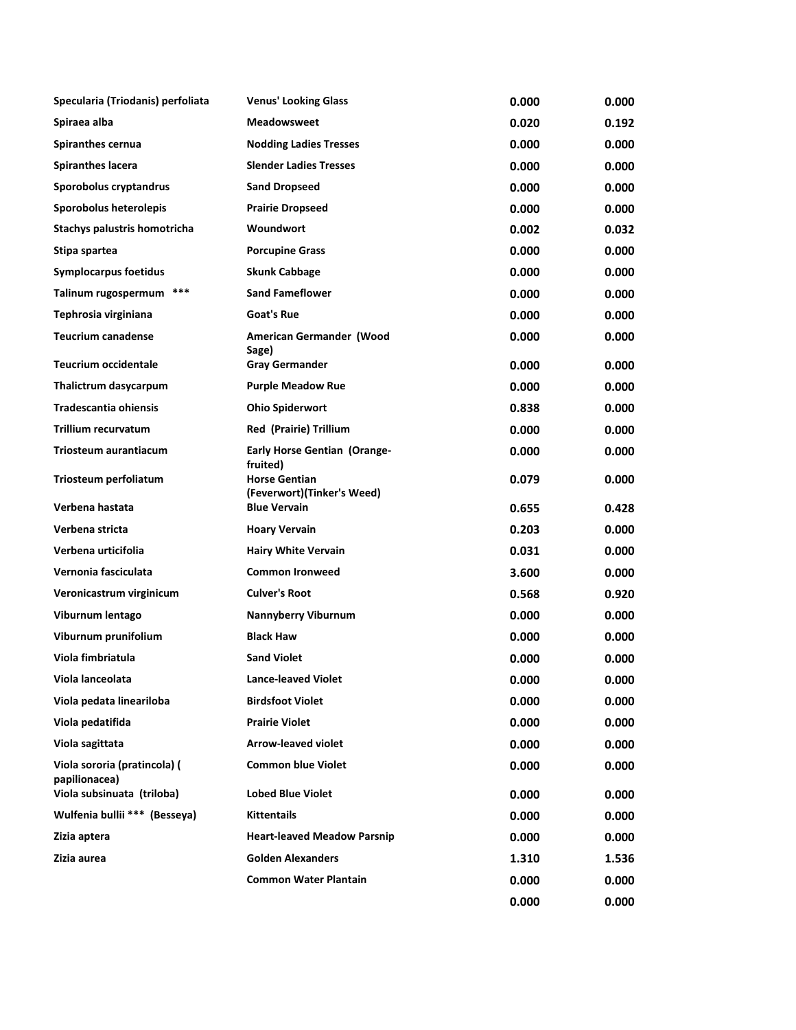| Specularia (Triodanis) perfoliata             | <b>Venus' Looking Glass</b>                        | 0.000 | 0.000 |
|-----------------------------------------------|----------------------------------------------------|-------|-------|
| Spiraea alba                                  | <b>Meadowsweet</b>                                 | 0.020 | 0.192 |
| Spiranthes cernua                             | <b>Nodding Ladies Tresses</b>                      | 0.000 | 0.000 |
| <b>Spiranthes lacera</b>                      | <b>Slender Ladies Tresses</b>                      | 0.000 | 0.000 |
| Sporobolus cryptandrus                        | <b>Sand Dropseed</b>                               | 0.000 | 0.000 |
| Sporobolus heterolepis                        | <b>Prairie Dropseed</b>                            | 0.000 | 0.000 |
| Stachys palustris homotricha                  | Woundwort                                          | 0.002 | 0.032 |
| Stipa spartea                                 | <b>Porcupine Grass</b>                             | 0.000 | 0.000 |
| <b>Symplocarpus foetidus</b>                  | <b>Skunk Cabbage</b>                               | 0.000 | 0.000 |
| ***<br>Talinum rugospermum                    | <b>Sand Fameflower</b>                             | 0.000 | 0.000 |
| Tephrosia virginiana                          | <b>Goat's Rue</b>                                  | 0.000 | 0.000 |
| <b>Teucrium canadense</b>                     | American Germander (Wood<br>Sage)                  | 0.000 | 0.000 |
| <b>Teucrium occidentale</b>                   | <b>Gray Germander</b>                              | 0.000 | 0.000 |
| Thalictrum dasycarpum                         | <b>Purple Meadow Rue</b>                           | 0.000 | 0.000 |
| <b>Tradescantia ohiensis</b>                  | <b>Ohio Spiderwort</b>                             | 0.838 | 0.000 |
| <b>Trillium recurvatum</b>                    | Red (Prairie) Trillium                             | 0.000 | 0.000 |
| Triosteum aurantiacum                         | <b>Early Horse Gentian (Orange-</b><br>fruited)    | 0.000 | 0.000 |
| Triosteum perfoliatum                         | <b>Horse Gentian</b><br>(Feverwort)(Tinker's Weed) | 0.079 | 0.000 |
| Verbena hastata                               | <b>Blue Vervain</b>                                | 0.655 | 0.428 |
| Verbena stricta                               | <b>Hoary Vervain</b>                               | 0.203 | 0.000 |
| Verbena urticifolia                           | <b>Hairy White Vervain</b>                         | 0.031 | 0.000 |
| Vernonia fasciculata                          | <b>Common Ironweed</b>                             | 3.600 | 0.000 |
| Veronicastrum virginicum                      | <b>Culver's Root</b>                               | 0.568 | 0.920 |
| Viburnum lentago                              | <b>Nannyberry Viburnum</b>                         | 0.000 | 0.000 |
| Viburnum prunifolium                          | <b>Black Haw</b>                                   | 0.000 | 0.000 |
| Viola fimbriatula                             | <b>Sand Violet</b>                                 | 0.000 | 0.000 |
| Viola lanceolata                              | <b>Lance-leaved Violet</b>                         | 0.000 | 0.000 |
| Viola pedata lineariloba                      | <b>Birdsfoot Violet</b>                            | 0.000 | 0.000 |
| Viola pedatifida                              | <b>Prairie Violet</b>                              | 0.000 | 0.000 |
| Viola sagittata                               | <b>Arrow-leaved violet</b>                         | 0.000 | 0.000 |
| Viola sororia (pratincola) (<br>papilionacea) | <b>Common blue Violet</b>                          | 0.000 | 0.000 |
| Viola subsinuata (triloba)                    | <b>Lobed Blue Violet</b>                           | 0.000 | 0.000 |
| Wulfenia bullii *** (Besseya)                 | <b>Kittentails</b>                                 | 0.000 | 0.000 |
| Zizia aptera                                  | <b>Heart-leaved Meadow Parsnip</b>                 | 0.000 | 0.000 |
| Zizia aurea                                   | <b>Golden Alexanders</b>                           | 1.310 | 1.536 |
|                                               | <b>Common Water Plantain</b>                       | 0.000 | 0.000 |
|                                               |                                                    | 0.000 | 0.000 |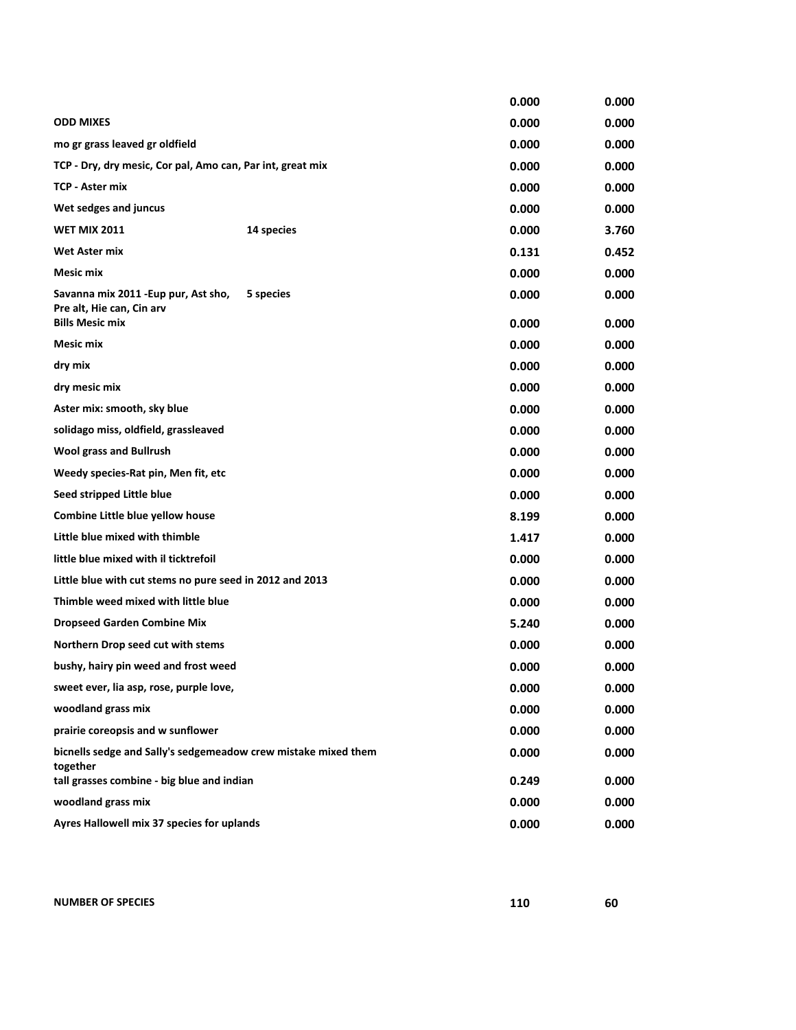|                                                                            |            | 0.000 | 0.000 |
|----------------------------------------------------------------------------|------------|-------|-------|
| <b>ODD MIXES</b>                                                           |            | 0.000 | 0.000 |
| mo gr grass leaved gr oldfield                                             |            | 0.000 | 0.000 |
| TCP - Dry, dry mesic, Cor pal, Amo can, Par int, great mix                 |            | 0.000 | 0.000 |
| <b>TCP - Aster mix</b>                                                     |            | 0.000 | 0.000 |
| Wet sedges and juncus                                                      |            | 0.000 | 0.000 |
| <b>WET MIX 2011</b>                                                        | 14 species | 0.000 | 3.760 |
| Wet Aster mix                                                              |            | 0.131 | 0.452 |
| Mesic mix                                                                  |            | 0.000 | 0.000 |
| Savanna mix 2011 - Eup pur, Ast sho,<br>Pre alt, Hie can, Cin arv          | 5 species  | 0.000 | 0.000 |
| <b>Bills Mesic mix</b>                                                     |            | 0.000 | 0.000 |
| <b>Mesic mix</b>                                                           |            | 0.000 | 0.000 |
| dry mix                                                                    |            | 0.000 | 0.000 |
| dry mesic mix                                                              |            | 0.000 | 0.000 |
| Aster mix: smooth, sky blue                                                |            | 0.000 | 0.000 |
| solidago miss, oldfield, grassleaved                                       |            | 0.000 | 0.000 |
| <b>Wool grass and Bullrush</b>                                             |            | 0.000 | 0.000 |
| Weedy species-Rat pin, Men fit, etc                                        |            | 0.000 | 0.000 |
| Seed stripped Little blue                                                  |            | 0.000 | 0.000 |
| Combine Little blue yellow house                                           | 8.199      | 0.000 |       |
| Little blue mixed with thimble                                             |            | 1.417 | 0.000 |
| little blue mixed with il ticktrefoil                                      |            | 0.000 | 0.000 |
| Little blue with cut stems no pure seed in 2012 and 2013                   | 0.000      | 0.000 |       |
| Thimble weed mixed with little blue                                        | 0.000      | 0.000 |       |
| <b>Dropseed Garden Combine Mix</b>                                         |            | 5.240 | 0.000 |
| Northern Drop seed cut with stems                                          |            | 0.000 | 0.000 |
| bushy, hairy pin weed and frost weed                                       |            | 0.000 | 0.000 |
| sweet ever, lia asp, rose, purple love,                                    |            | 0.000 | 0.000 |
| woodland grass mix                                                         |            | 0.000 | 0.000 |
| prairie coreopsis and w sunflower                                          | 0.000      | 0.000 |       |
| bicnells sedge and Sally's sedgemeadow crew mistake mixed them<br>together |            | 0.000 | 0.000 |
| tall grasses combine - big blue and indian                                 |            | 0.249 | 0.000 |
| woodland grass mix                                                         | 0.000      | 0.000 |       |
| Ayres Hallowell mix 37 species for uplands                                 | 0.000      | 0.000 |       |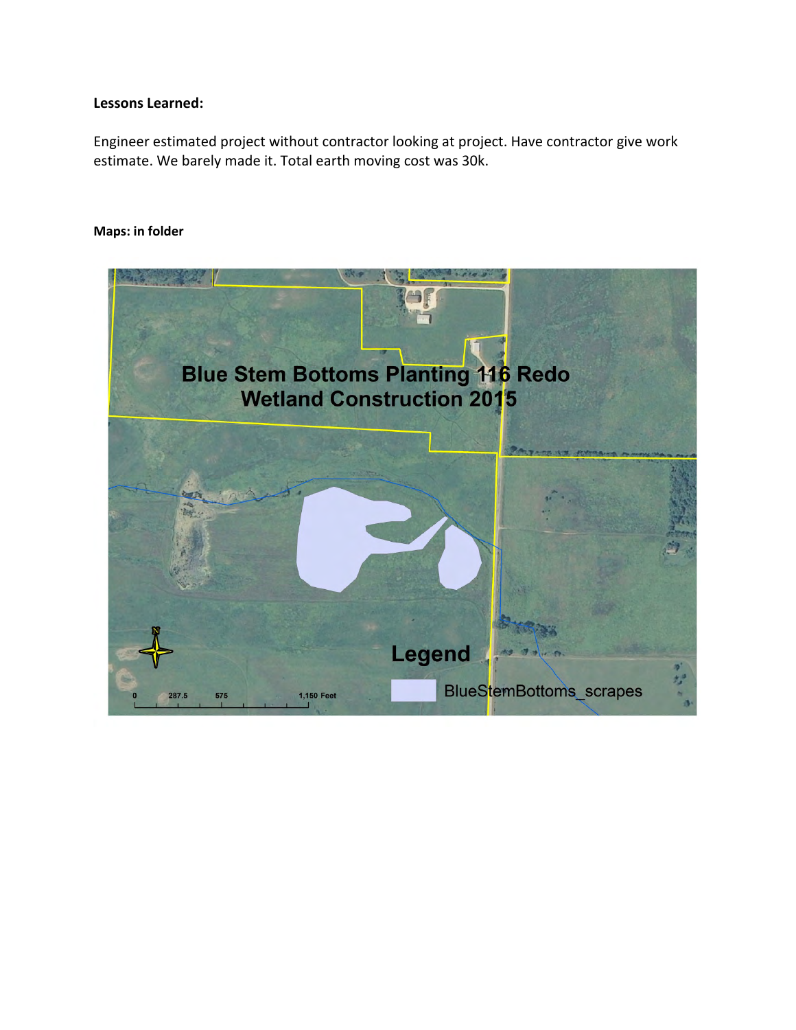### **Lessons Learned:**

Engineer estimated project without contractor looking at project. Have contractor give work estimate. We barely made it. Total earth moving cost was 30k.

### **Maps: in folder**

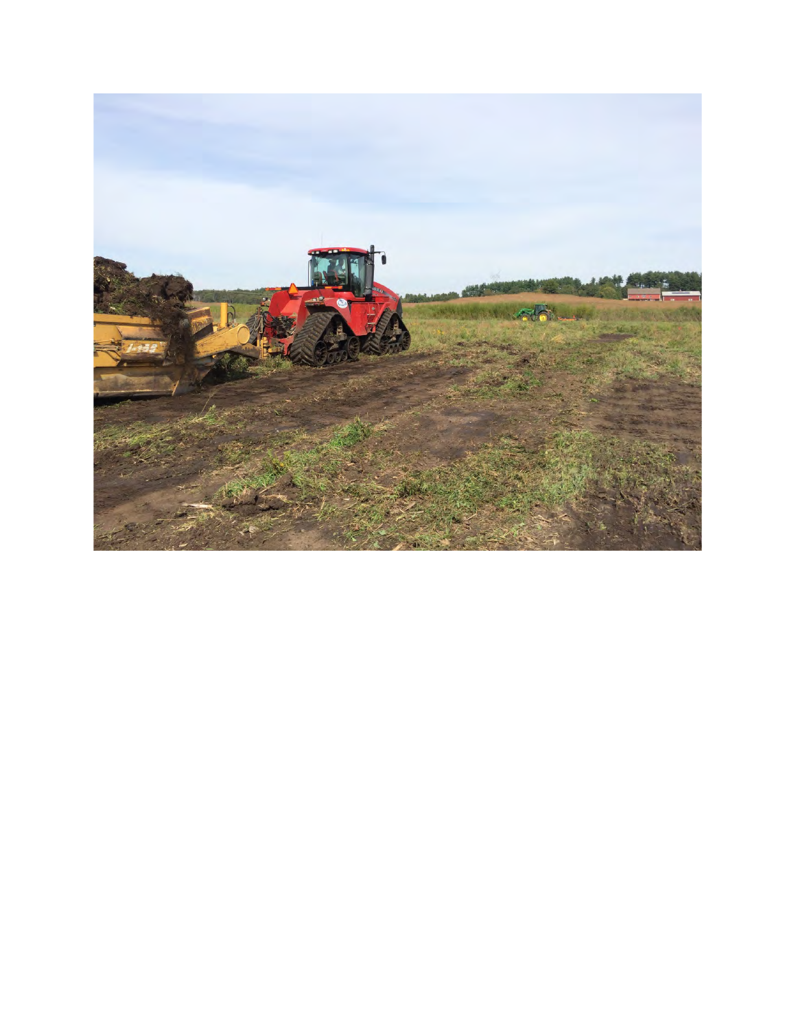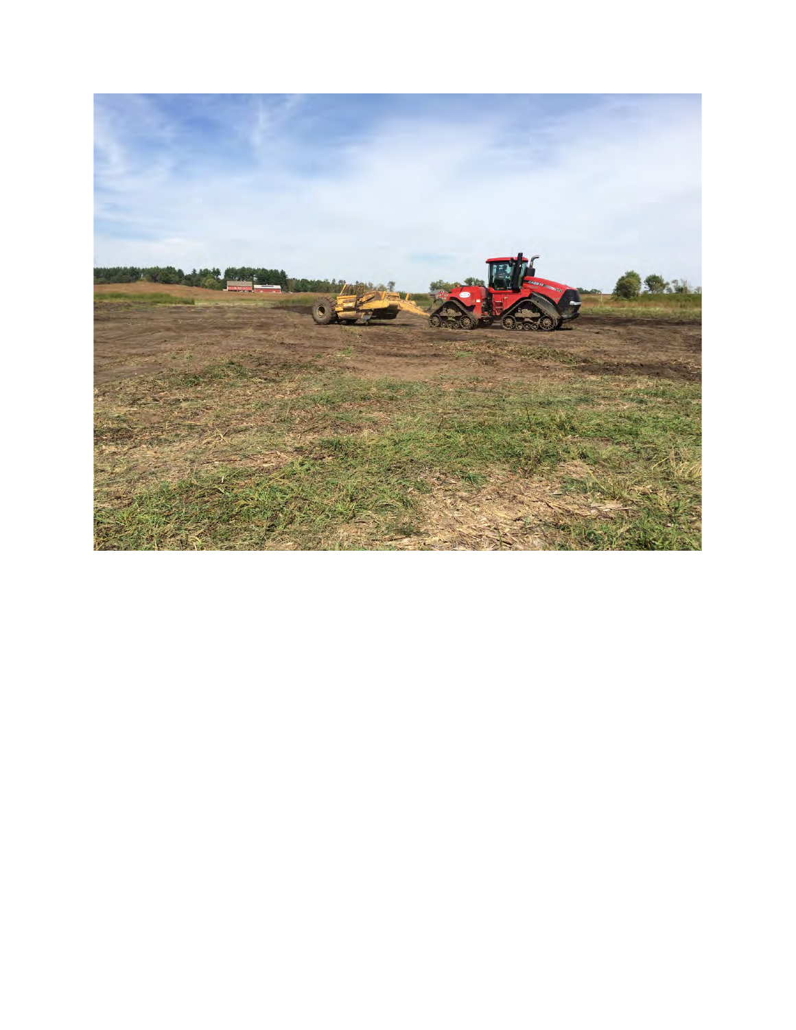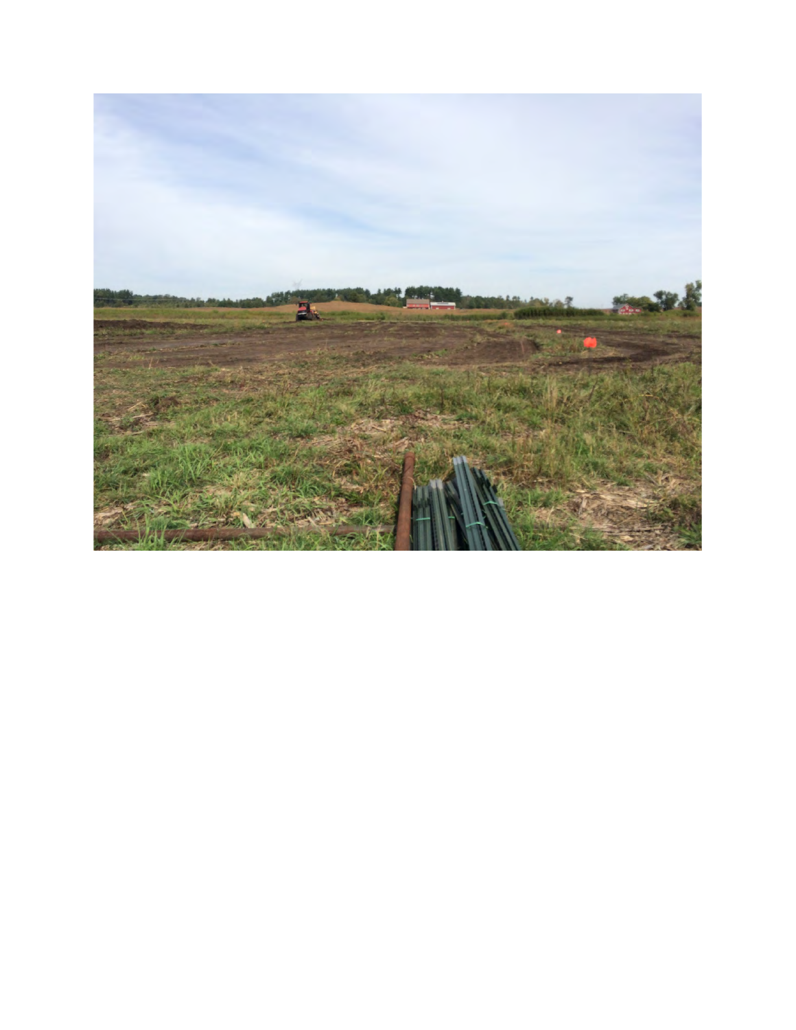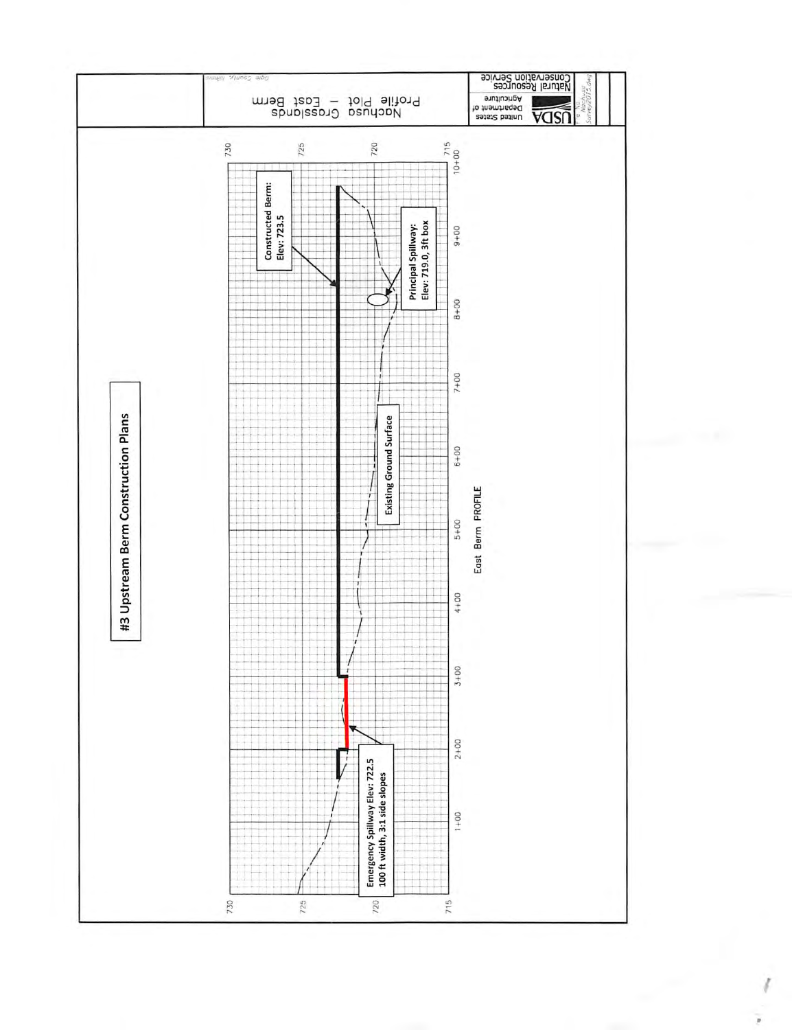

l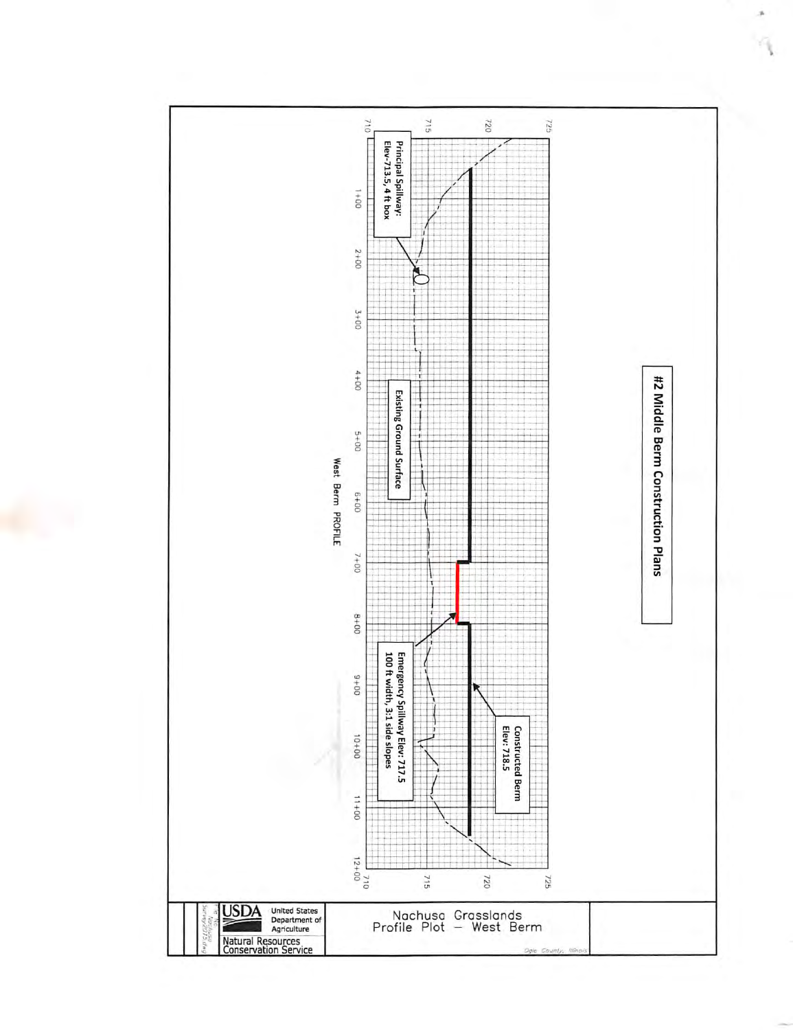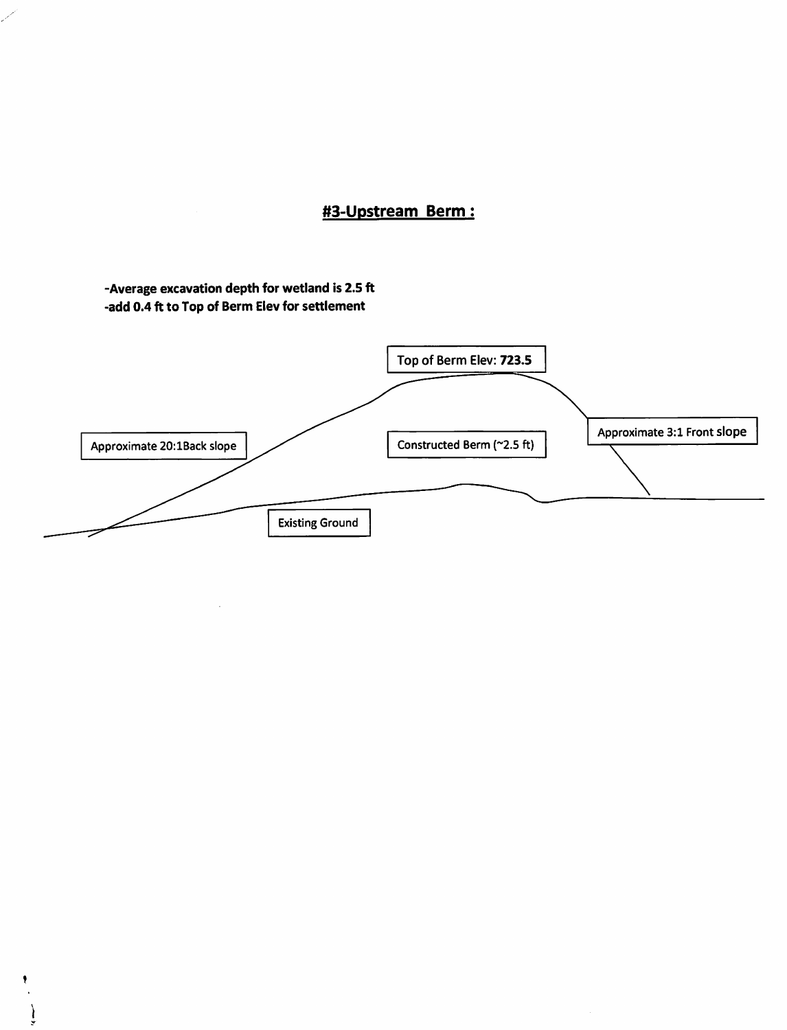# #3-Upstream Berm:

## -Average excavation depth for wetland is 2.5 ft -add 0.4 ft to Top of Berm Elev for settlement